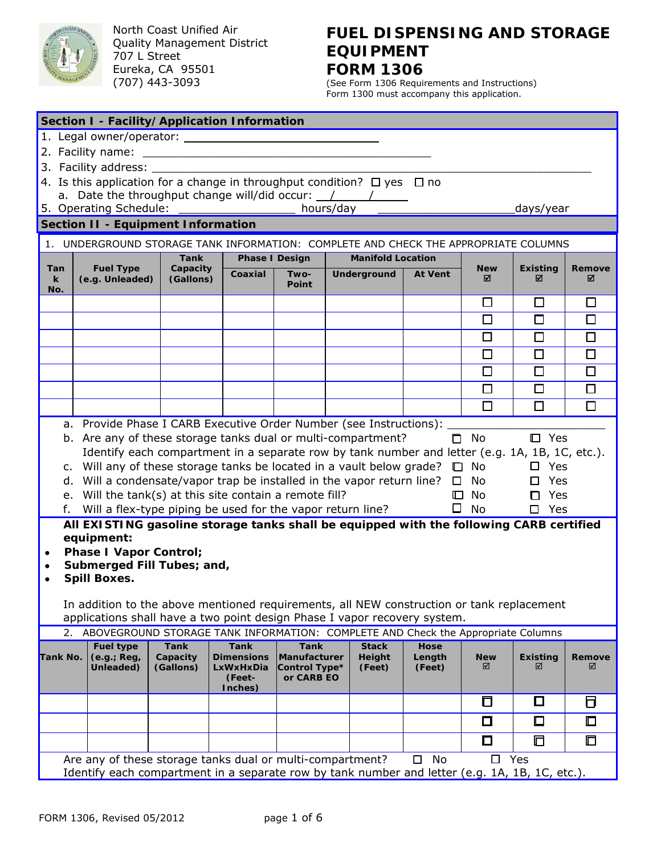

North Coast Unified Air Quality Management District 707 L Street Eureka, CA 95501 (707) 443-3093

# **FUEL DISPENSING AND STORAGE EQUIPMENT FORM 1306**

(See Form 1306 Requirements and Instructions) Form 1300 must accompany this application.

| Section I - Facility/Application Information |                                                                                                                                                                                                                                                                                                                                                                                  |                       |                                                     |                                             |                                                                                                |                  |                 |                      |             |
|----------------------------------------------|----------------------------------------------------------------------------------------------------------------------------------------------------------------------------------------------------------------------------------------------------------------------------------------------------------------------------------------------------------------------------------|-----------------------|-----------------------------------------------------|---------------------------------------------|------------------------------------------------------------------------------------------------|------------------|-----------------|----------------------|-------------|
|                                              |                                                                                                                                                                                                                                                                                                                                                                                  |                       |                                                     |                                             |                                                                                                |                  |                 |                      |             |
|                                              |                                                                                                                                                                                                                                                                                                                                                                                  |                       |                                                     |                                             |                                                                                                |                  |                 |                      |             |
|                                              | 3. Facility address: __________                                                                                                                                                                                                                                                                                                                                                  |                       |                                                     |                                             |                                                                                                |                  |                 |                      |             |
|                                              | 4. Is this application for a change in throughput condition? $\Box$ yes $\Box$ no                                                                                                                                                                                                                                                                                                |                       |                                                     |                                             |                                                                                                |                  |                 |                      |             |
|                                              | a. Date the throughput change will/did occur: $\frac{1}{\sqrt{1-\frac{1}{1-\frac{1}{1-\frac{1}{1-\frac{1}{1-\frac{1}{1-\frac{1}{1-\frac{1}{1-\frac{1}{1-\frac{1}{1-\frac{1}{1-\frac{1}{1-\frac{1}{1-\frac{1}{1-\frac{1}{1-\frac{1}{1-\frac{1}{1-\frac{1}{1-\frac{1}{1-\frac{1}{1-\frac{1}{1-\frac{1}{1-\frac{1}{1-\frac{1}{1-\frac{1}{1-\frac{1}{1-\frac{1}{1-\frac{1}{1-\frac{$ |                       |                                                     |                                             |                                                                                                |                  |                 |                      |             |
|                                              | 5. Operating Schedule:                                                                                                                                                                                                                                                                                                                                                           |                       |                                                     |                                             | hours/day                                                                                      |                  |                 | days/year            |             |
|                                              | <b>Section II - Equipment Information</b>                                                                                                                                                                                                                                                                                                                                        |                       |                                                     |                                             |                                                                                                |                  |                 |                      |             |
|                                              | 1. UNDERGROUND STORAGE TANK INFORMATION: COMPLETE AND CHECK THE APPROPRIATE COLUMNS                                                                                                                                                                                                                                                                                              |                       |                                                     |                                             |                                                                                                |                  |                 |                      |             |
|                                              |                                                                                                                                                                                                                                                                                                                                                                                  | <b>Tank</b>           | <b>Phase I Design</b>                               |                                             | <b>Manifold Location</b>                                                                       |                  |                 |                      |             |
| Tan<br>$\mathbf k$<br>No.                    | <b>Fuel Type</b><br>(e.g. Unleaded)                                                                                                                                                                                                                                                                                                                                              | Capacity<br>(Gallons) | Coaxial                                             | Two-<br>Point                               | Underground                                                                                    | <b>At Vent</b>   | <b>New</b><br>⊠ | <b>Existing</b><br>⊠ | Remove<br>⊠ |
|                                              |                                                                                                                                                                                                                                                                                                                                                                                  |                       |                                                     |                                             |                                                                                                |                  | $\Box$          | $\Box$               | □           |
|                                              |                                                                                                                                                                                                                                                                                                                                                                                  |                       |                                                     |                                             |                                                                                                |                  | $\Box$          | $\Box$               | $\Box$      |
|                                              |                                                                                                                                                                                                                                                                                                                                                                                  |                       |                                                     |                                             |                                                                                                |                  | $\Box$          | $\Box$               | $\Box$      |
|                                              |                                                                                                                                                                                                                                                                                                                                                                                  |                       |                                                     |                                             |                                                                                                |                  | $\Box$          | □                    | □           |
|                                              |                                                                                                                                                                                                                                                                                                                                                                                  |                       |                                                     |                                             |                                                                                                |                  | □               | $\Box$               | □           |
|                                              |                                                                                                                                                                                                                                                                                                                                                                                  |                       |                                                     |                                             |                                                                                                |                  | $\Box$          | $\Box$               | $\Box$      |
|                                              |                                                                                                                                                                                                                                                                                                                                                                                  |                       |                                                     |                                             |                                                                                                |                  | $\Box$          | $\Box$               | $\Box$      |
|                                              | a. Provide Phase I CARB Executive Order Number (see Instructions):                                                                                                                                                                                                                                                                                                               |                       |                                                     |                                             |                                                                                                |                  |                 |                      |             |
|                                              | b. Are any of these storage tanks dual or multi-compartment?                                                                                                                                                                                                                                                                                                                     |                       |                                                     |                                             |                                                                                                |                  | $\Box$ No       | $\square$ Yes        |             |
|                                              |                                                                                                                                                                                                                                                                                                                                                                                  |                       |                                                     |                                             | Identify each compartment in a separate row by tank number and letter (e.g. 1A, 1B, 1C, etc.). |                  |                 |                      |             |
|                                              | c. Will any of these storage tanks be located in a vault below grade?                                                                                                                                                                                                                                                                                                            |                       |                                                     |                                             |                                                                                                |                  | $\Box$ No       | $\square$ Yes        |             |
|                                              | d. Will a condensate/vapor trap be installed in the vapor return line? $\square$ No                                                                                                                                                                                                                                                                                              |                       |                                                     |                                             |                                                                                                |                  |                 | $\square$ Yes        |             |
|                                              | e. Will the tank(s) at this site contain a remote fill?                                                                                                                                                                                                                                                                                                                          |                       |                                                     |                                             |                                                                                                | $\Box$           | No              | Yes<br>п             |             |
| f.                                           | Will a flex-type piping be used for the vapor return line?                                                                                                                                                                                                                                                                                                                       |                       |                                                     |                                             |                                                                                                | $\Box$           | No              | Yes<br>П.            |             |
|                                              | All EXISTING gasoline storage tanks shall be equipped with the following CARB certified                                                                                                                                                                                                                                                                                          |                       |                                                     |                                             |                                                                                                |                  |                 |                      |             |
| ٠                                            | equipment:<br><b>Phase I Vapor Control;</b>                                                                                                                                                                                                                                                                                                                                      |                       |                                                     |                                             |                                                                                                |                  |                 |                      |             |
| ٠                                            | Submerged Fill Tubes; and,                                                                                                                                                                                                                                                                                                                                                       |                       |                                                     |                                             |                                                                                                |                  |                 |                      |             |
|                                              | <b>Spill Boxes.</b>                                                                                                                                                                                                                                                                                                                                                              |                       |                                                     |                                             |                                                                                                |                  |                 |                      |             |
|                                              |                                                                                                                                                                                                                                                                                                                                                                                  |                       |                                                     |                                             |                                                                                                |                  |                 |                      |             |
|                                              | In addition to the above mentioned requirements, all NEW construction or tank replacement                                                                                                                                                                                                                                                                                        |                       |                                                     |                                             |                                                                                                |                  |                 |                      |             |
|                                              | applications shall have a two point design Phase I vapor recovery system.<br>2. ABOVEGROUND STORAGE TANK INFORMATION: COMPLETE AND Check the Appropriate Columns                                                                                                                                                                                                                 |                       |                                                     |                                             |                                                                                                |                  |                 |                      |             |
|                                              | <b>Fuel type</b>                                                                                                                                                                                                                                                                                                                                                                 | <b>Tank</b>           | <b>Tank</b>                                         | <b>Tank</b>                                 | <b>Stack</b>                                                                                   | Hose             |                 |                      |             |
| Tank No.                                     | (e.g.; Reg,<br>Unleaded)                                                                                                                                                                                                                                                                                                                                                         | Capacity<br>(Gallons) | <b>Dimensions</b><br>LxWxHxDia<br>(Feet-<br>Inches) | Manufacturer<br>Control Type*<br>or CARB EO | Height<br>(Feet)                                                                               | Length<br>(Feet) | <b>New</b><br>☑ | <b>Existing</b><br>☑ | Remove<br>☑ |
|                                              |                                                                                                                                                                                                                                                                                                                                                                                  |                       |                                                     |                                             |                                                                                                |                  | $\Box$          | ⊡                    | б           |
|                                              |                                                                                                                                                                                                                                                                                                                                                                                  |                       |                                                     |                                             |                                                                                                |                  | $\Box$          | $\square$            | $\Box$      |
|                                              |                                                                                                                                                                                                                                                                                                                                                                                  |                       |                                                     |                                             |                                                                                                |                  | ◘               | ⊡                    | 口           |
|                                              | Are any of these storage tanks dual or multi-compartment?                                                                                                                                                                                                                                                                                                                        |                       |                                                     |                                             |                                                                                                | No<br>$\Box$     | $\Box$          | Yes                  |             |
|                                              | Identify each compartment in a separate row by tank number and letter (e.g. 1A, 1B, 1C, etc.).                                                                                                                                                                                                                                                                                   |                       |                                                     |                                             |                                                                                                |                  |                 |                      |             |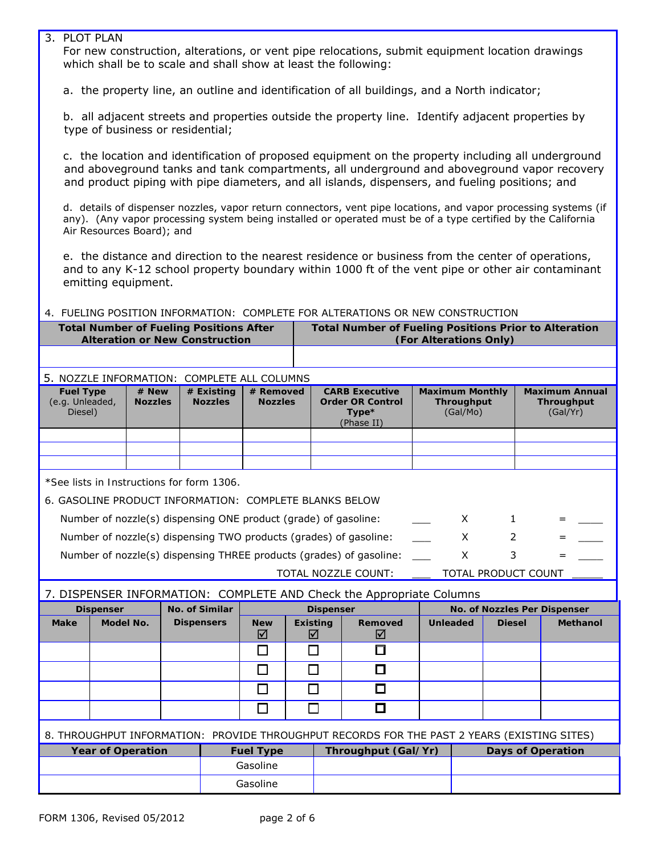## 3. PLOT PLAN

For new construction, alterations, or vent pipe relocations, submit equipment location drawings which shall be to scale and shall show at least the following:

a. the property line, an outline and identification of all buildings, and a North indicator;

b. all adjacent streets and properties outside the property line. Identify adjacent properties by type of business or residential;

c. the location and identification of proposed equipment on the property including all underground and aboveground tanks and tank compartments, all underground and aboveground vapor recovery and product piping with pipe diameters, and all islands, dispensers, and fueling positions; and

d. details of dispenser nozzles, vapor return connectors, vent pipe locations, and vapor processing systems (if any). (Any vapor processing system being installed or operated must be of a type certified by the California Air Resources Board); and

e. the distance and direction to the nearest residence or business from the center of operations, and to any K-12 school property boundary within 1000 ft of the vent pipe or other air contaminant emitting equipment.

4. FUELING POSITION INFORMATION: COMPLETE FOR ALTERATIONS OR NEW CONSTRUCTION

| Total Number of Fueling Positions After | <b>Total Number of Fueling Positions Prior to Alteration</b> |
|-----------------------------------------|--------------------------------------------------------------|
| <b>Alteration or New Construction</b>   | (For Alterations Only)                                       |
|                                         |                                                              |

#### 5. NOZZLE INFORMATION: COMPLETE ALL COLUMNS

| <b>Fuel Type</b><br>(e.g. Unleaded,<br>Diesel) | $#$ New<br><b>Nozzles</b> | $#$ Existing<br><b>Nozzles</b> | # Removed<br><b>Nozzles</b> | <b>CARB Executive</b><br><b>Order OR Control</b><br>$Type*$<br>(Phase II) | <b>Maximum Monthly</b><br>Throughput<br>(Gal/Mo) | <b>Maximum Annual</b><br><b>Throughput</b><br>(Gal/Yr) |
|------------------------------------------------|---------------------------|--------------------------------|-----------------------------|---------------------------------------------------------------------------|--------------------------------------------------|--------------------------------------------------------|
|                                                |                           |                                |                             |                                                                           |                                                  |                                                        |
|                                                |                           |                                |                             |                                                                           |                                                  |                                                        |
|                                                |                           |                                |                             |                                                                           |                                                  |                                                        |

\**See lists in Instructions for form* 1306.

| 6. GASOLINE PRODUCT INFORMATION: COMPLETE BLANKS BELOW |  |
|--------------------------------------------------------|--|
|--------------------------------------------------------|--|

| Number of nozzle(s) dispensing ONE product (grade) of gasoline:     |  |                     |     | 그는 그는 사람들이 없었다. |
|---------------------------------------------------------------------|--|---------------------|-----|-----------------|
| Number of nozzle(s) dispensing TWO products (grades) of gasoline:   |  |                     |     |                 |
| Number of nozzle(s) dispensing THREE products (grades) of gasoline: |  |                     | $=$ |                 |
| TOTAL NOZZLE COUNT:                                                 |  | TOTAL PRODUCT COUNT |     |                 |

7. DISPENSER INFORMATION: COMPLETE AND Check the Appropriate Columns

| <b>Dispenser</b>         |                                                                                             | No. of Similar    |                                         | <b>Dispenser</b>     |                     | <b>No. of Nozzles Per Dispenser</b> |                          |                 |
|--------------------------|---------------------------------------------------------------------------------------------|-------------------|-----------------------------------------|----------------------|---------------------|-------------------------------------|--------------------------|-----------------|
| <b>Make</b>              | Model No.                                                                                   | <b>Dispensers</b> | <b>New</b><br>☑                         | <b>Existing</b><br>☑ | <b>Removed</b><br>☑ | <b>Unleaded</b>                     | <b>Diesel</b>            | <b>Methanol</b> |
|                          |                                                                                             |                   |                                         |                      |                     |                                     |                          |                 |
|                          |                                                                                             |                   |                                         |                      | □                   |                                     |                          |                 |
|                          |                                                                                             |                   |                                         |                      | □                   |                                     |                          |                 |
|                          |                                                                                             |                   |                                         |                      | □                   |                                     |                          |                 |
|                          | 8. THROUGHPUT INFORMATION: PROVIDE THROUGHPUT RECORDS FOR THE PAST 2 YEARS (EXISTING SITES) |                   |                                         |                      |                     |                                     |                          |                 |
| <b>Year of Operation</b> |                                                                                             |                   | Throughput (Gal/Yr)<br><b>Fuel Type</b> |                      |                     |                                     | <b>Days of Operation</b> |                 |
|                          |                                                                                             |                   | Gasoline                                |                      |                     |                                     |                          |                 |
|                          |                                                                                             |                   | Gasoline                                |                      |                     |                                     |                          |                 |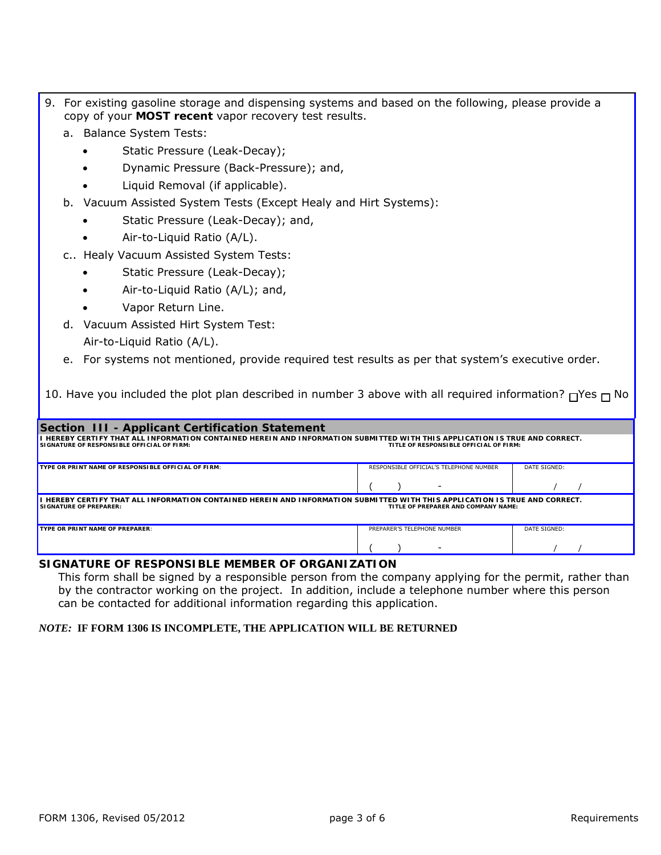- 9. For existing gasoline storage and dispensing systems and based on the following, please provide a copy of your **MOST recent** vapor recovery test results.
	- a. Balance System Tests:
		- Static Pressure (Leak-Decay);
		- Dynamic Pressure (Back-Pressure); and,
		- Liquid Removal (if applicable).
	- b. Vacuum Assisted System Tests (Except Healy and Hirt Systems):
		- Static Pressure (Leak-Decay); and,
		- Air-to-Liquid Ratio (A/L).
	- c.. Healy Vacuum Assisted System Tests:
		- Static Pressure (Leak-Decay);
		- Air-to-Liquid Ratio (A/L); and,
		- Vapor Return Line.
	- d. Vacuum Assisted Hirt System Test: Air-to-Liquid Ratio (A/L).
	- e. For systems not mentioned, provide required test results as per that system's executive order.

10. Have you included the plot plan described in number 3 above with all required information?  $\Box$ Yes  $\Box$  No

| Section III - Applicant Certification Statement                                                                                                                                                                     |                             |              |  |  |  |  |  |
|---------------------------------------------------------------------------------------------------------------------------------------------------------------------------------------------------------------------|-----------------------------|--------------|--|--|--|--|--|
| I HEREBY CERTIFY THAT ALL INFORMATION CONTAINED HEREIN AND INFORMATION SUBMITTED WITH THIS APPLICATION IS TRUE AND CORRECT.<br>SIGNATURE OF RESPONSIBLE OFFICIAL OF FIRM:<br>TITLE OF RESPONSIBLE OFFICIAL OF FIRM: |                             |              |  |  |  |  |  |
| RESPONSIBLE OFFICIAL'S TELEPHONE NUMBER<br>DATE SIGNED:<br>TYPE OR PRINT NAME OF RESPONSIBLE OFFICIAL OF FIRM:                                                                                                      |                             |              |  |  |  |  |  |
|                                                                                                                                                                                                                     |                             |              |  |  |  |  |  |
| I HEREBY CERTIFY THAT ALL INFORMATION CONTAINED HEREIN AND INFORMATION SUBMITTED WITH THIS APPLICATION IS TRUE AND CORRECT.<br><b>SIGNATURE OF PREPARER:</b><br>TITLE OF PREPARER AND COMPANY NAME:                 |                             |              |  |  |  |  |  |
| TYPE OR PRINT NAME OF PREPARER:                                                                                                                                                                                     | PREPARER'S TELEPHONE NUMBER | DATE SIGNED: |  |  |  |  |  |
|                                                                                                                                                                                                                     |                             |              |  |  |  |  |  |

#### **SIGNATURE OF RESPONSIBLE MEMBER OF ORGANIZATION**

This form shall be signed by a responsible person from the company applying for the permit, rather than by the contractor working on the project. In addition, include a telephone number where this person can be contacted for additional information regarding this application.

#### *NOTE:* **IF FORM 1306 IS INCOMPLETE, THE APPLICATION WILL BE RETURNED**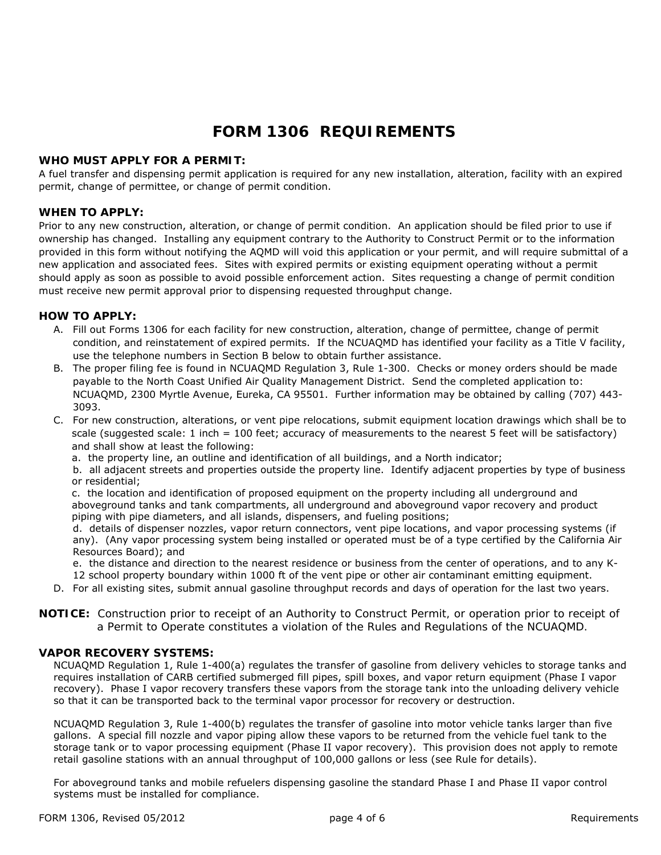# **FORM 1306 REQUIREMENTS**

#### **WHO MUST APPLY FOR A PERMIT:**

A fuel transfer and dispensing permit application is required for any new installation, alteration, facility with an expired permit, change of permittee, or change of permit condition.

#### **WHEN TO APPLY:**

Prior to any new construction, alteration, or change of permit condition. An application should be filed prior to use if ownership has changed. Installing any equipment contrary to the Authority to Construct Permit or to the information provided in this form without notifying the AQMD will void this application or your permit, and will require submittal of a new application and associated fees. Sites with expired permits or existing equipment operating without a permit should apply as soon as possible to avoid possible enforcement action. Sites requesting a change of permit condition must receive new permit approval prior to dispensing requested throughput change.

#### **HOW TO APPLY:**

- A. Fill out Forms 1306 for each facility for new construction, alteration, change of permittee, change of permit condition, and reinstatement of expired permits. If the NCUAQMD has identified your facility as a Title V facility, use the telephone numbers in Section B below to obtain further assistance.
- B. The proper filing fee is found in NCUAQMD Regulation 3, Rule 1-300. Checks or money orders should be made payable to the North Coast Unified Air Quality Management District. Send the completed application to: NCUAQMD, 2300 Myrtle Avenue, Eureka, CA 95501. Further information may be obtained by calling (707) 443- 3093.
- C. For new construction, alterations, or vent pipe relocations, submit equipment location drawings which shall be to scale (suggested scale: 1 inch = 100 feet; accuracy of measurements to the nearest 5 feet will be satisfactory) and shall show at least the following:
	- a. the property line, an outline and identification of all buildings, and a North indicator;

b. all adjacent streets and properties outside the property line. Identify adjacent properties by type of business or residential;

c. the location and identification of proposed equipment on the property including all underground and aboveground tanks and tank compartments, all underground and aboveground vapor recovery and product piping with pipe diameters, and all islands, dispensers, and fueling positions;

d. details of dispenser nozzles, vapor return connectors, vent pipe locations, and vapor processing systems (if any). (Any vapor processing system being installed or operated must be of a type certified by the California Air Resources Board); and

e. the distance and direction to the nearest residence or business from the center of operations, and to any K-12 school property boundary within 1000 ft of the vent pipe or other air contaminant emitting equipment.

D. For all existing sites, submit annual gasoline throughput records and days of operation for the last two years.

**NOTICE:** *Construction prior to receipt of an Authority to Construct Permit, or operation prior to receipt of a Permit to Operate constitutes a violation of the Rules and Regulations of the NCUAQMD.* 

#### **VAPOR RECOVERY SYSTEMS:**

NCUAQMD Regulation 1, Rule 1-400(a) regulates the transfer of gasoline from delivery vehicles to storage tanks and requires installation of CARB certified submerged fill pipes, spill boxes, and vapor return equipment (Phase I vapor recovery). Phase I vapor recovery transfers these vapors from the storage tank into the unloading delivery vehicle so that it can be transported back to the terminal vapor processor for recovery or destruction.

NCUAQMD Regulation 3, Rule 1-400(b) regulates the transfer of gasoline into motor vehicle tanks larger than five gallons. A special fill nozzle and vapor piping allow these vapors to be returned from the vehicle fuel tank to the storage tank or to vapor processing equipment (Phase II vapor recovery). This provision does not apply to remote retail gasoline stations with an annual throughput of 100,000 gallons or less (see Rule for details).

For aboveground tanks and mobile refuelers dispensing gasoline the standard Phase I and Phase II vapor control systems must be installed for compliance.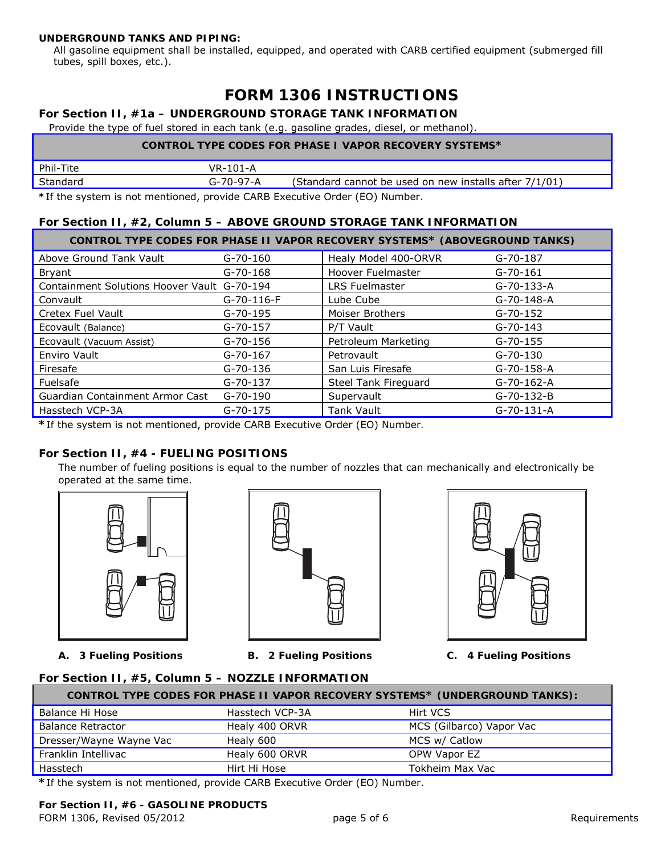#### **UNDERGROUND TANKS AND PIPING:**

All gasoline equipment shall be installed, equipped, and operated with CARB certified equipment (submerged fill tubes, spill boxes, etc.).

# **FORM 1306 INSTRUCTIONS**

## **For Section II, #1a – UNDERGROUND STORAGE TANK INFORMATION**

Provide the type of fuel stored in each tank (e.g. gasoline grades, diesel, or methanol).

| <b>CONTROL TYPE CODES FOR PHASE I VAPOR RECOVERY SYSTEMS*</b> |
|---------------------------------------------------------------|
|---------------------------------------------------------------|

| Phil-Tite                                                                | VR-101-A          |                                                        |
|--------------------------------------------------------------------------|-------------------|--------------------------------------------------------|
| ' Standard                                                               | $G - 70 - 97 - A$ | (Standard cannot be used on new installs after 7/1/01) |
| *If the system is not mentioned provide CAPR Executive Order (EQ) Number |                   |                                                        |

**\***If the system is not mentioned, provide CARB Executive Order (EO) Number.

## **For Section II, #2, Column 5 – ABOVE GROUND STORAGE TANK INFORMATION**

|                                             |                | <b>CONTROL TYPE CODES FOR PHASE II VAPOR RECOVERY SYSTEMS* (ABOVEGROUND TANKS)</b> |                    |
|---------------------------------------------|----------------|------------------------------------------------------------------------------------|--------------------|
| Above Ground Tank Vault                     | $G - 70 - 160$ | Healy Model 400-ORVR                                                               | $G-70-187$         |
| Bryant                                      | $G - 70 - 168$ | Hoover Fuelmaster                                                                  | $G-70-161$         |
| Containment Solutions Hoover Vault G-70-194 |                | <b>LRS Fuelmaster</b>                                                              | $G - 70 - 133 - A$ |
| Convault                                    | $G-70-116-F$   | Lube Cube                                                                          | $G - 70 - 148 - A$ |
| <b>Cretex Fuel Vault</b>                    | $G - 70 - 195$ | Moiser Brothers                                                                    | $G - 70 - 152$     |
| Ecovault (Balance)                          | $G - 70 - 157$ | P/T Vault                                                                          | $G - 70 - 143$     |
| Ecovault (Vacuum Assist)                    | $G - 70 - 156$ | Petroleum Marketing                                                                | $G - 70 - 155$     |
| Enviro Vault                                | $G - 70 - 167$ | Petrovault                                                                         | G-70-130           |
| Firesafe                                    | $G - 70 - 136$ | San Luis Firesafe                                                                  | G-70-158-A         |
| Fuelsafe                                    | $G - 70 - 137$ | Steel Tank Fireguard                                                               | $G - 70 - 162 - A$ |
| Guardian Containment Armor Cast             | $G - 70 - 190$ | Supervault                                                                         | $G-70-132-B$       |
| Hasstech VCP-3A                             | $G - 70 - 175$ | <b>Tank Vault</b>                                                                  | $G-70-131-A$       |

**\***If the system is not mentioned, provide CARB Executive Order (EO) Number*.* 

## **For Section II, #4 - FUELING POSITIONS**

The number of fueling positions is equal to the number of nozzles that can mechanically and electronically be operated at the same time.







 **A. 3 Fueling Positions B. 2 Fueling Positions C. 4 Fueling Positions** 

#### **For Section II, #5, Column 5 – NOZZLE INFORMATION**

| <b>CONTROL TYPE CODES FOR PHASE II VAPOR RECOVERY SYSTEMS* (UNDERGROUND TANKS):</b> |                 |                          |  |  |  |  |  |
|-------------------------------------------------------------------------------------|-----------------|--------------------------|--|--|--|--|--|
| Balance Hi Hose                                                                     | Hasstech VCP-3A | Hirt VCS                 |  |  |  |  |  |
| <b>Balance Retractor</b>                                                            | Healy 400 ORVR  | MCS (Gilbarco) Vapor Vac |  |  |  |  |  |
| Dresser/Wayne Wayne Vac                                                             | Healy 600       | MCS w/ Catlow            |  |  |  |  |  |
| Franklin Intellivac                                                                 | Healy 600 ORVR  | OPW Vapor EZ             |  |  |  |  |  |
| Hasstech                                                                            | Hirt Hi Hose    | Tokheim Max Vac          |  |  |  |  |  |

*\**If the system is not mentioned, provide CARB Executive Order (EO) Number.

#### **For Section II, #6 - GASOLINE PRODUCTS**

FORM 1306, Revised 05/2012 **Example 2018** page 5 of 6 Requirements